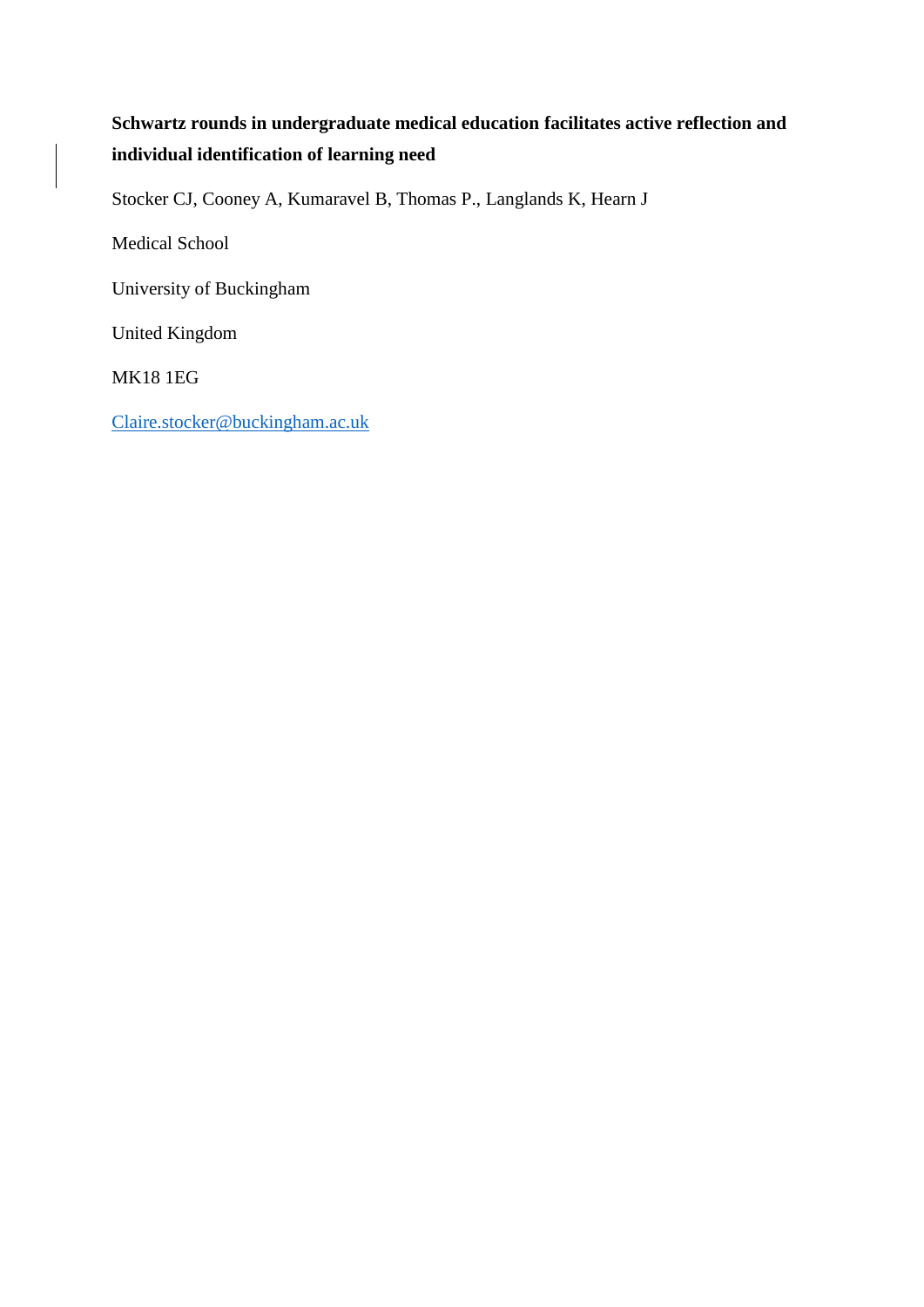# **Schwartz rounds in undergraduate medical education facilitates active reflection and individual identification of learning need**

Stocker CJ, Cooney A, Kumaravel B, Thomas P., Langlands K, Hearn J

Medical School

University of Buckingham

United Kingdom

MK18 1EG

[Claire.stocker@buckingham.ac.uk](mailto:Claire.stocker@buckingham.ac.uk)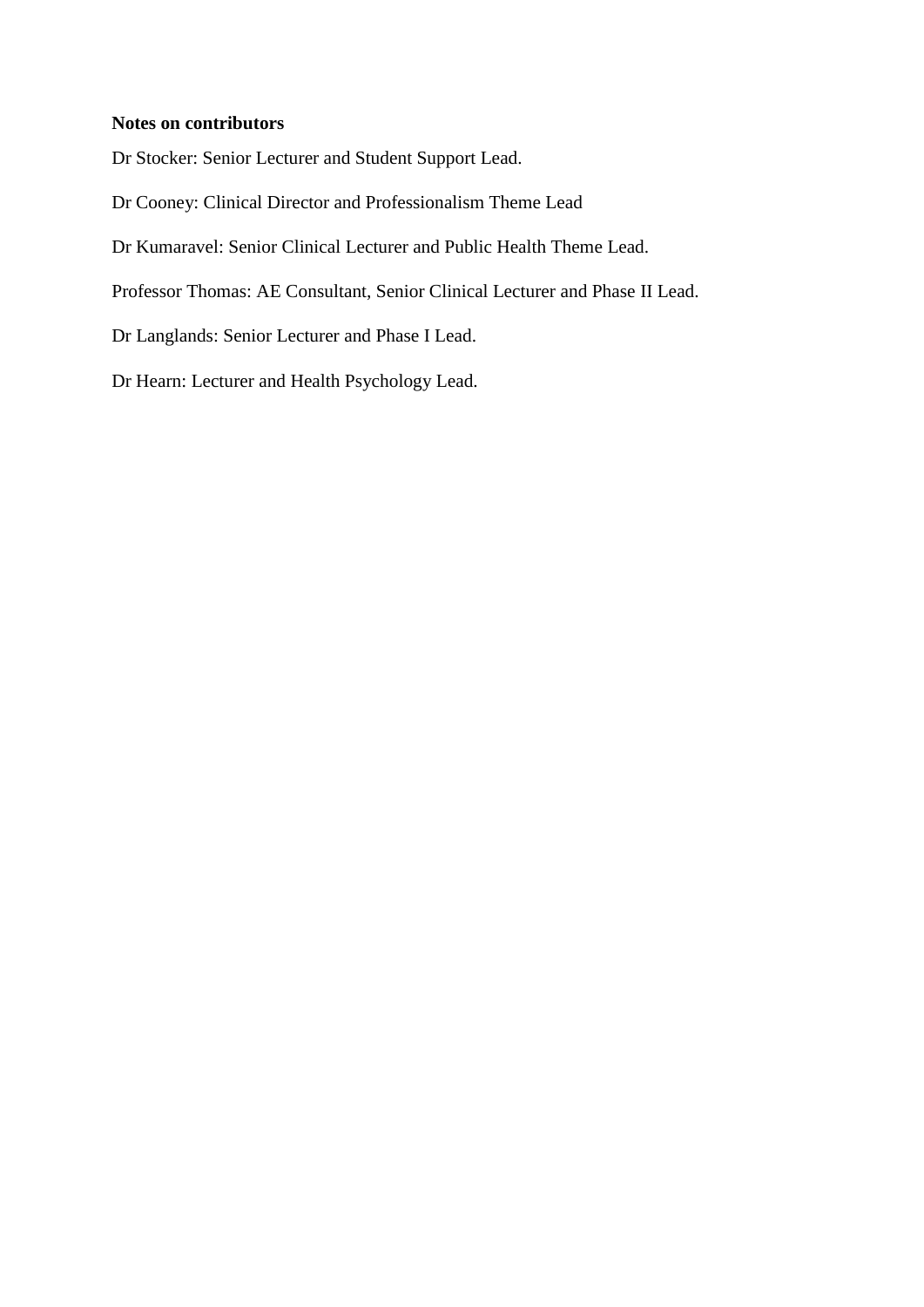## **Notes on contributors**

Dr Stocker: Senior Lecturer and Student Support Lead.

- Dr Cooney: Clinical Director and Professionalism Theme Lead
- Dr Kumaravel: Senior Clinical Lecturer and Public Health Theme Lead.

Professor Thomas: AE Consultant, Senior Clinical Lecturer and Phase II Lead.

Dr Langlands: Senior Lecturer and Phase I Lead.

Dr Hearn: Lecturer and Health Psychology Lead.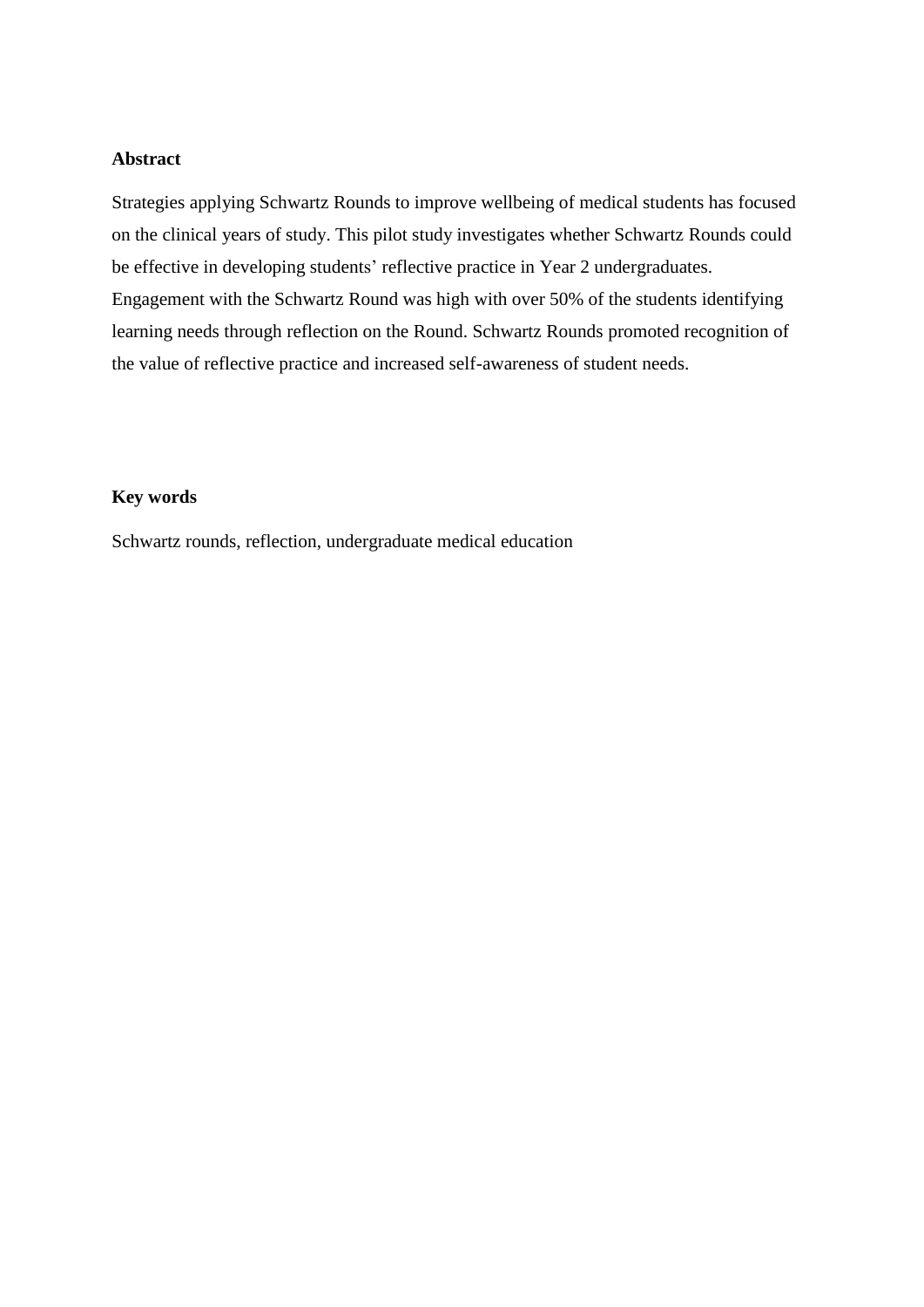### **Abstract**

Strategies applying Schwartz Rounds to improve wellbeing of medical students has focused on the clinical years of study. This pilot study investigates whether Schwartz Rounds could be effective in developing students' reflective practice in Year 2 undergraduates. Engagement with the Schwartz Round was high with over 50% of the students identifying learning needs through reflection on the Round. Schwartz Rounds promoted recognition of the value of reflective practice and increased self-awareness of student needs.

## **Key words**

Schwartz rounds, reflection, undergraduate medical education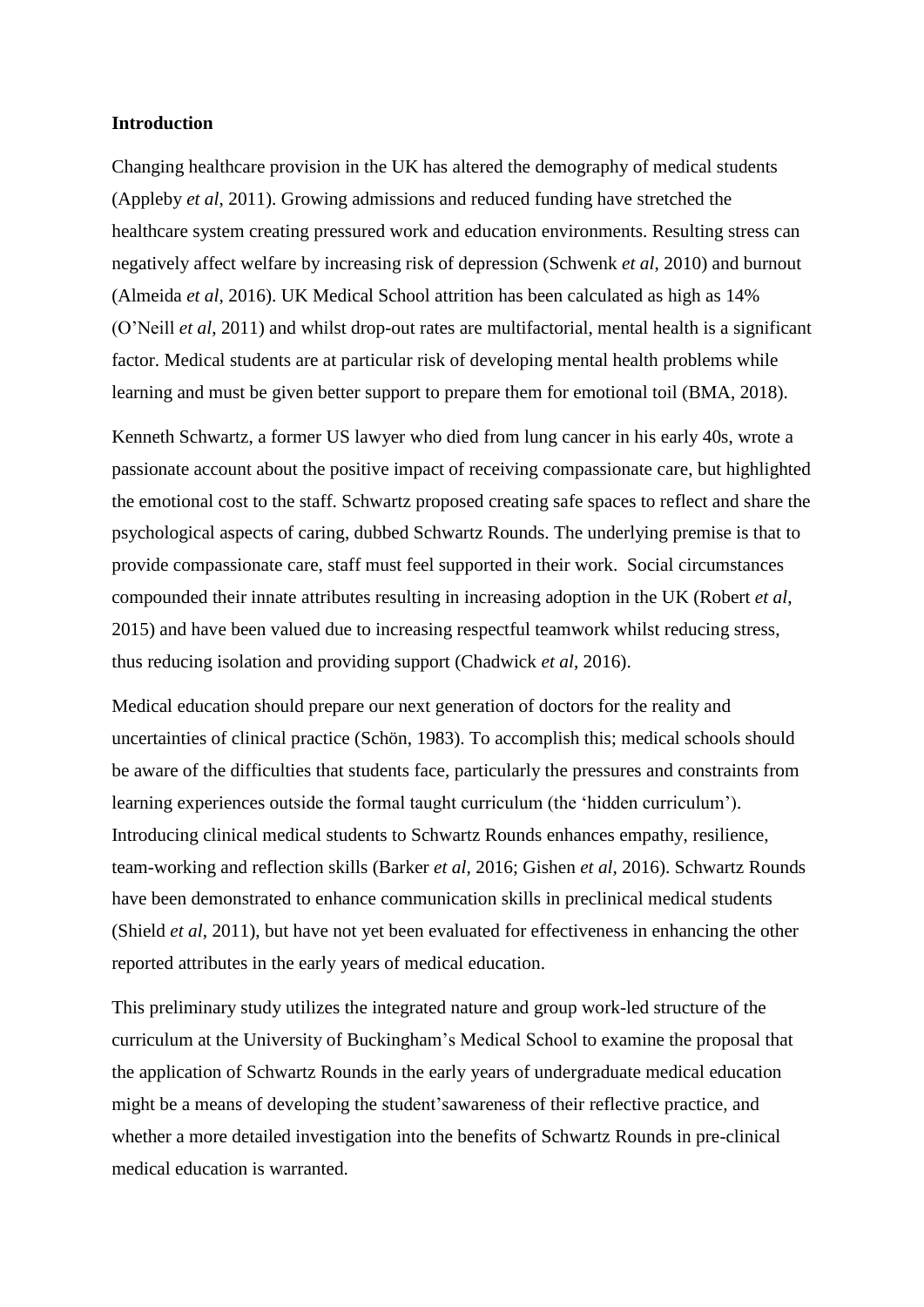#### **Introduction**

Changing healthcare provision in the UK has altered the demography of medical students (Appleby *et al*, 2011). Growing admissions and reduced funding have stretched the healthcare system creating pressured work and education environments. Resulting stress can negatively affect welfare by increasing risk of depression (Schwenk *et al*, 2010) and burnout (Almeida *et al,* 2016). UK Medical School attrition has been calculated as high as 14% (O'Neill *et al*, 2011) and whilst drop-out rates are multifactorial, mental health is a significant factor. Medical students are at particular risk of developing mental health problems while learning and must be given better support to prepare them for emotional toil (BMA, 2018).

Kenneth Schwartz, a former US lawyer who died from lung cancer in his early 40s, wrote a passionate account about the positive impact of receiving compassionate care, but highlighted the emotional cost to the staff. Schwartz proposed creating safe spaces to reflect and share the psychological aspects of caring, dubbed Schwartz Rounds. The underlying premise is that to provide compassionate care, staff must feel supported in their work. Social circumstances compounded their innate attributes resulting in increasing adoption in the UK (Robert *et al*, 2015) and have been valued due to increasing respectful teamwork whilst reducing stress, thus reducing isolation and providing support (Chadwick *et al*, 2016).

Medical education should prepare our next generation of doctors for the reality and uncertainties of clinical practice (Schön, 1983). To accomplish this; medical schools should be aware of the difficulties that students face, particularly the pressures and constraints from learning experiences outside the formal taught curriculum (the 'hidden curriculum'). Introducing clinical medical students to Schwartz Rounds enhances empathy, resilience, team-working and reflection skills (Barker *et al,* 2016; Gishen *et al,* 2016). Schwartz Rounds have been demonstrated to enhance communication skills in preclinical medical students (Shield *et al*, 2011), but have not yet been evaluated for effectiveness in enhancing the other reported attributes in the early years of medical education.

This preliminary study utilizes the integrated nature and group work-led structure of the curriculum at the University of Buckingham's Medical School to examine the proposal that the application of Schwartz Rounds in the early years of undergraduate medical education might be a means of developing the student'sawareness of their reflective practice, and whether a more detailed investigation into the benefits of Schwartz Rounds in pre-clinical medical education is warranted.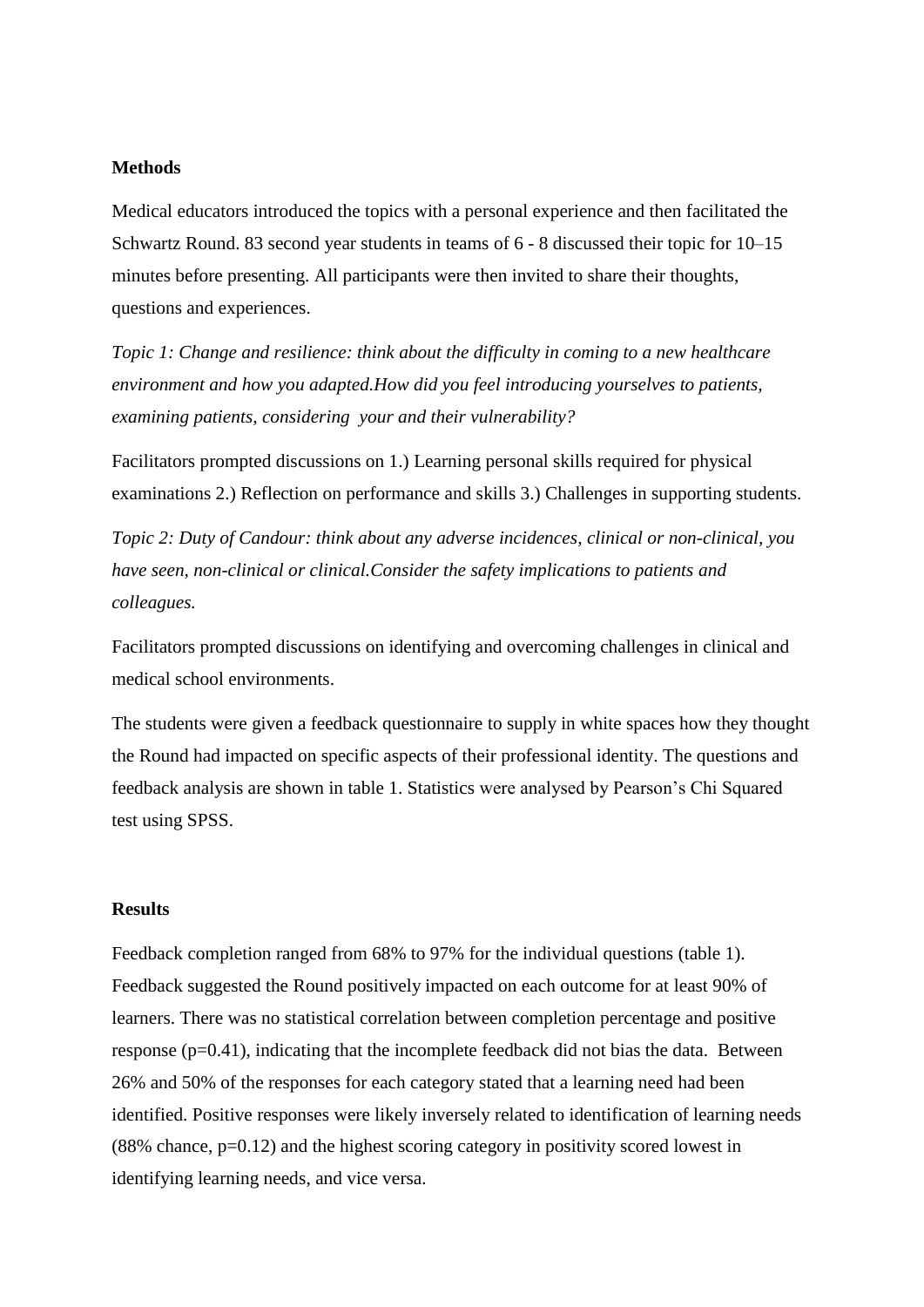## **Methods**

Medical educators introduced the topics with a personal experience and then facilitated the Schwartz Round. 83 second year students in teams of 6 - 8 discussed their topic for 10–15 minutes before presenting. All participants were then invited to share their thoughts, questions and experiences.

*Topic 1: Change and resilience: think about the difficulty in coming to a new healthcare environment and how you adapted.How did you feel introducing yourselves to patients, examining patients, considering your and their vulnerability?*

Facilitators prompted discussions on 1.) Learning personal skills required for physical examinations 2.) Reflection on performance and skills 3.) Challenges in supporting students.

*Topic 2: Duty of Candour: think about any adverse incidences, clinical or non-clinical, you have seen, non-clinical or clinical.Consider the safety implications to patients and colleagues.* 

Facilitators prompted discussions on identifying and overcoming challenges in clinical and medical school environments.

The students were given a feedback questionnaire to supply in white spaces how they thought the Round had impacted on specific aspects of their professional identity. The questions and feedback analysis are shown in table 1. Statistics were analysed by Pearson's Chi Squared test using SPSS.

## **Results**

Feedback completion ranged from 68% to 97% for the individual questions (table 1). Feedback suggested the Round positively impacted on each outcome for at least 90% of learners. There was no statistical correlation between completion percentage and positive response  $(p=0.41)$ , indicating that the incomplete feedback did not bias the data. Between 26% and 50% of the responses for each category stated that a learning need had been identified. Positive responses were likely inversely related to identification of learning needs  $(88\% \text{ chance}, \text{p}=0.12)$  and the highest scoring category in positivity scored lowest in identifying learning needs, and vice versa.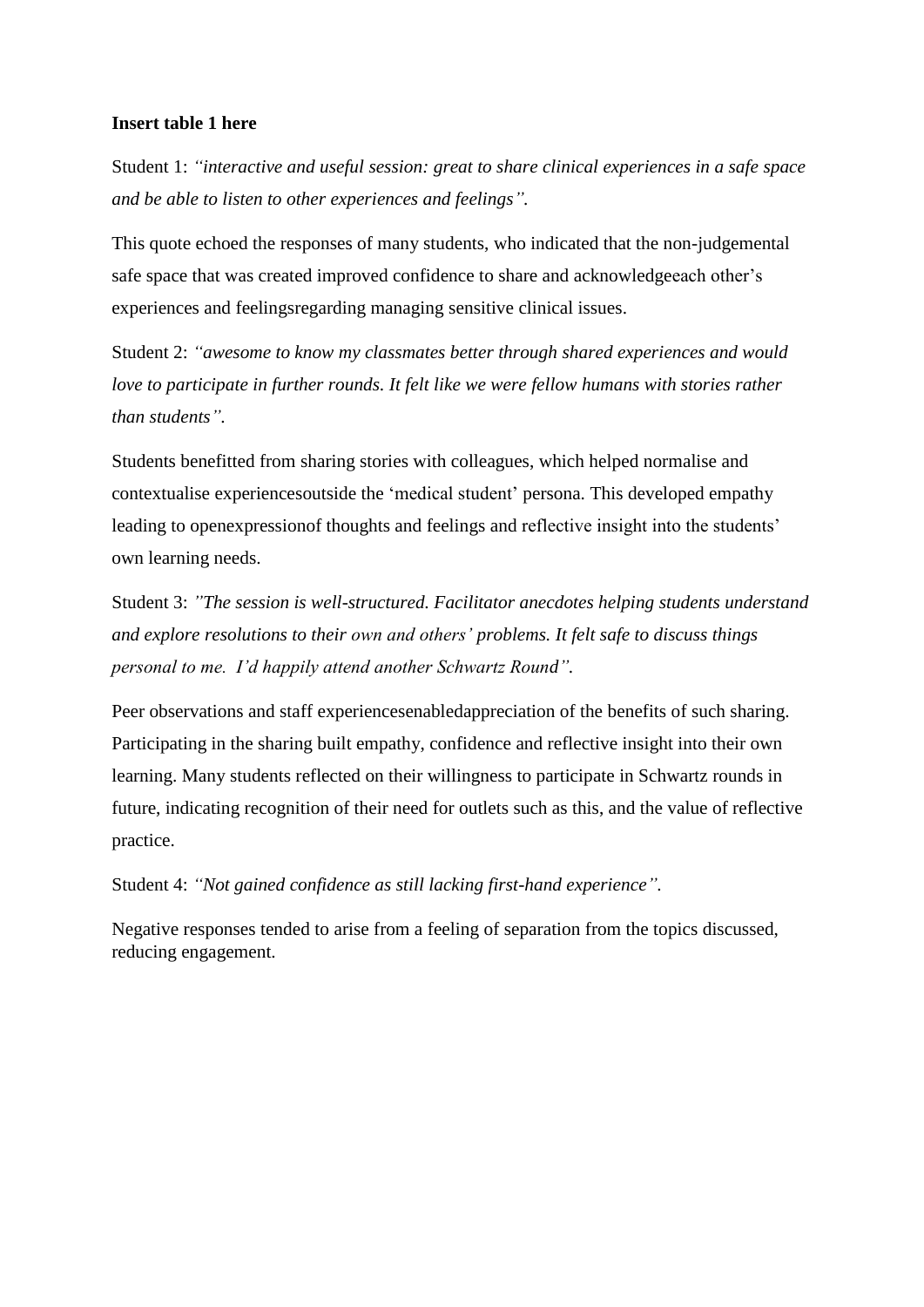## **Insert table 1 here**

Student 1: *"interactive and useful session: great to share clinical experiences in a safe space and be able to listen to other experiences and feelings".*

This quote echoed the responses of many students, who indicated that the non-judgemental safe space that was created improved confidence to share and acknowledgeeach other's experiences and feelingsregarding managing sensitive clinical issues.

Student 2: *"awesome to know my classmates better through shared experiences and would love to participate in further rounds. It felt like we were fellow humans with stories rather than students".*

Students benefitted from sharing stories with colleagues, which helped normalise and contextualise experiencesoutside the 'medical student' persona. This developed empathy leading to openexpressionof thoughts and feelings and reflective insight into the students' own learning needs.

Student 3: *"The session is well-structured. Facilitator anecdotes helping students understand and explore resolutions to their own and others' problems. It felt safe to discuss things personal to me. I'd happily attend another Schwartz Round".*

Peer observations and staff experiencesenabledappreciation of the benefits of such sharing. Participating in the sharing built empathy, confidence and reflective insight into their own learning. Many students reflected on their willingness to participate in Schwartz rounds in future, indicating recognition of their need for outlets such as this, and the value of reflective practice.

Student 4: *"Not gained confidence as still lacking first-hand experience".*

Negative responses tended to arise from a feeling of separation from the topics discussed, reducing engagement.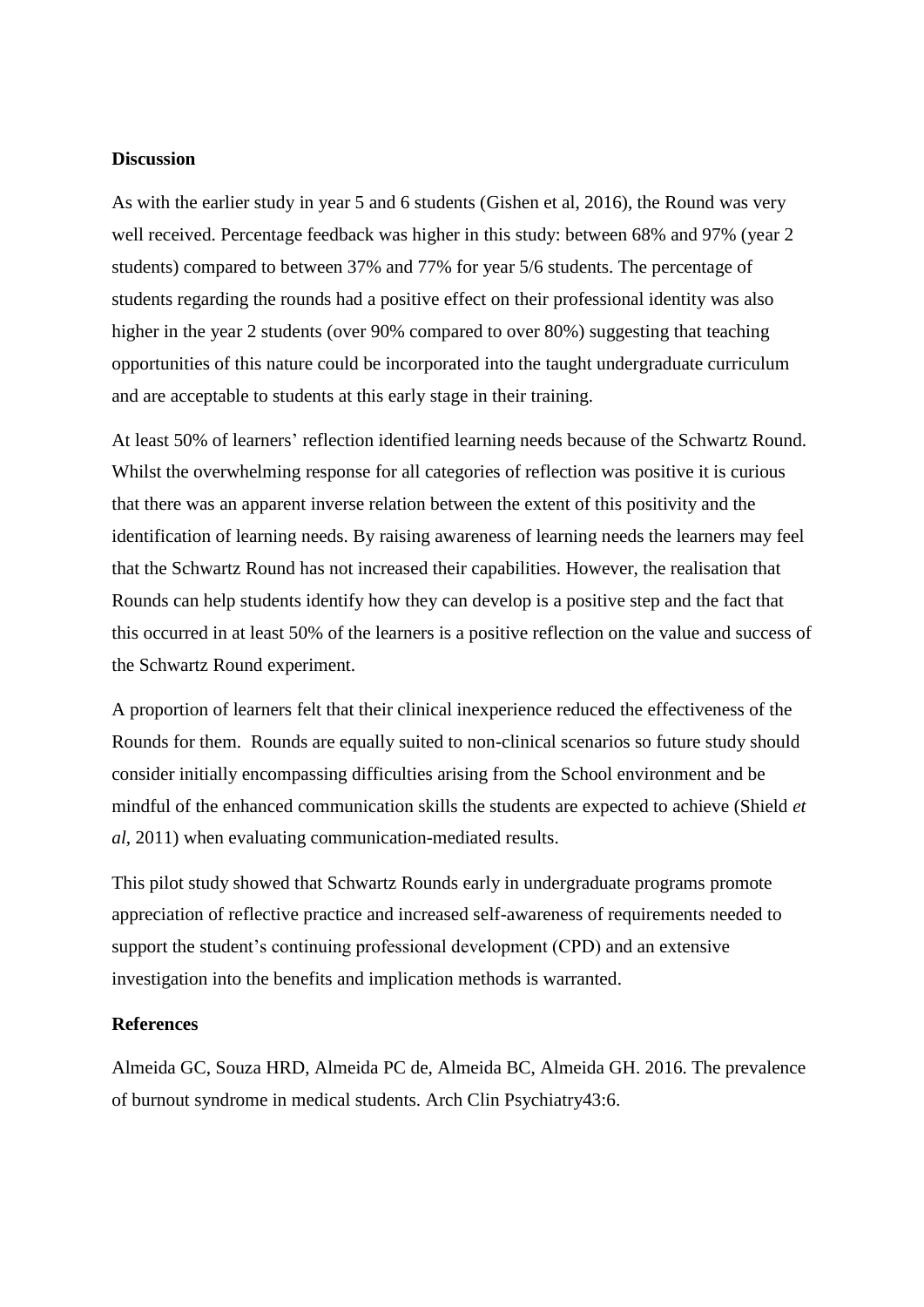#### **Discussion**

As with the earlier study in year 5 and 6 students (Gishen et al, 2016), the Round was very well received. Percentage feedback was higher in this study: between 68% and 97% (year 2 students) compared to between 37% and 77% for year 5/6 students. The percentage of students regarding the rounds had a positive effect on their professional identity was also higher in the year 2 students (over 90% compared to over 80%) suggesting that teaching opportunities of this nature could be incorporated into the taught undergraduate curriculum and are acceptable to students at this early stage in their training.

At least 50% of learners' reflection identified learning needs because of the Schwartz Round. Whilst the overwhelming response for all categories of reflection was positive it is curious that there was an apparent inverse relation between the extent of this positivity and the identification of learning needs. By raising awareness of learning needs the learners may feel that the Schwartz Round has not increased their capabilities. However, the realisation that Rounds can help students identify how they can develop is a positive step and the fact that this occurred in at least 50% of the learners is a positive reflection on the value and success of the Schwartz Round experiment.

A proportion of learners felt that their clinical inexperience reduced the effectiveness of the Rounds for them. Rounds are equally suited to non-clinical scenarios so future study should consider initially encompassing difficulties arising from the School environment and be mindful of the enhanced communication skills the students are expected to achieve (Shield *et al*, 2011) when evaluating communication-mediated results.

This pilot study showed that Schwartz Rounds early in undergraduate programs promote appreciation of reflective practice and increased self-awareness of requirements needed to support the student's continuing professional development (CPD) and an extensive investigation into the benefits and implication methods is warranted.

#### **References**

Almeida GC, Souza HRD, Almeida PC de, Almeida BC, Almeida GH. 2016. The prevalence of burnout syndrome in medical students. Arch Clin Psychiatry43:6.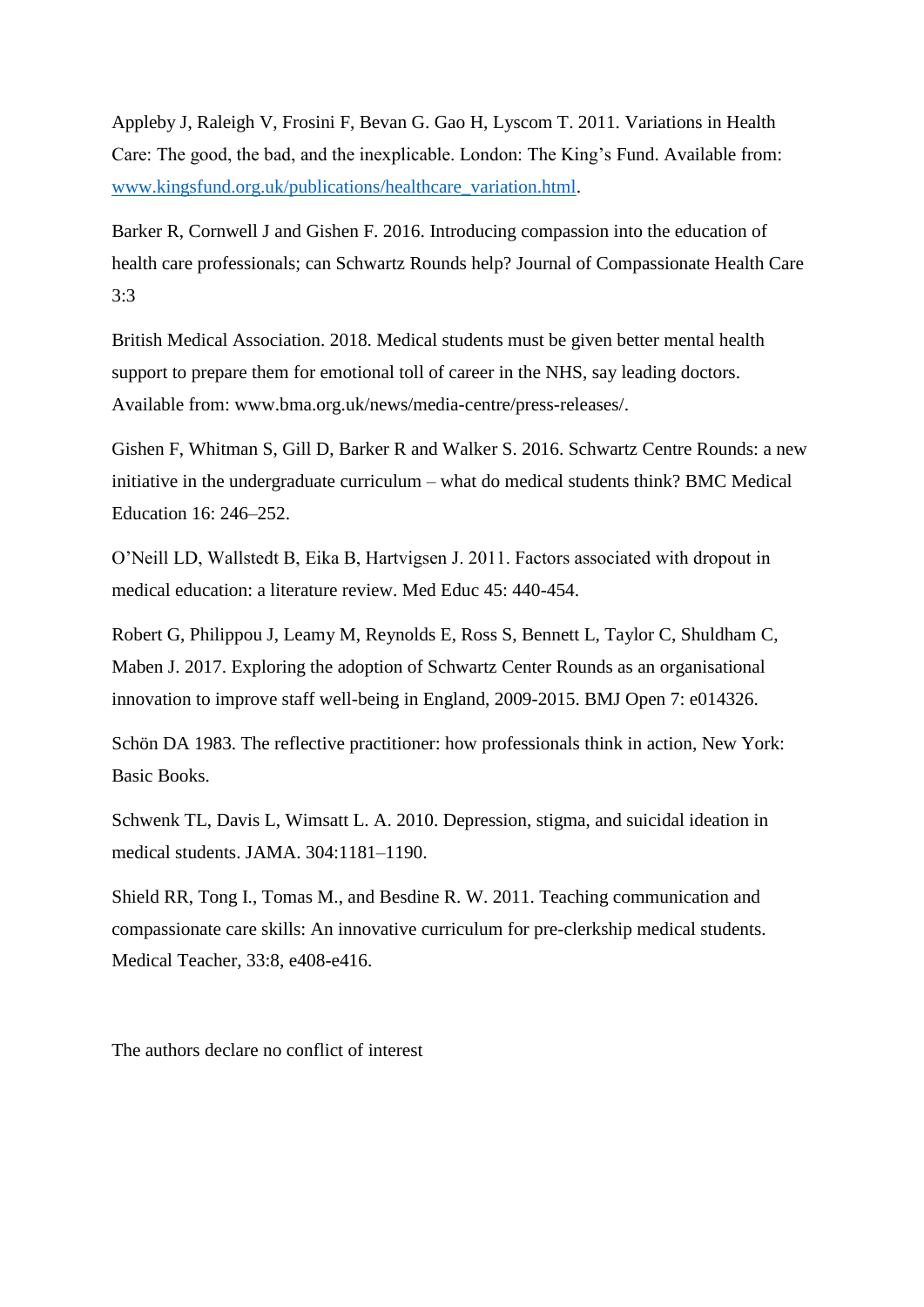Appleby J, Raleigh V, Frosini F, Bevan G. Gao H, Lyscom T. 2011. Variations in Health Care: The good, the bad, and the inexplicable. London: The King's Fund. Available from: [www.kingsfund.org.uk/publications/healthcare\\_variation.html.](http://www.kingsfund.org.uk/publications/healthcare_variation.html)

Barker R, Cornwell J and Gishen F. 2016. Introducing compassion into the education of health care professionals; can Schwartz Rounds help? Journal of Compassionate Health Care 3:3

British Medical Association. 2018. Medical students must be given better mental health support to prepare them for emotional toll of career in the NHS, say leading doctors. Available from: www.bma.org.uk/news/media-centre/press-releases/.

Gishen F, Whitman S, Gill D, Barker R and Walker S. 2016. Schwartz Centre Rounds: a new initiative in the undergraduate curriculum – what do medical students think? BMC Medical Education 16: 246–252.

O'Neill LD, Wallstedt B, Eika B, Hartvigsen J. 2011. Factors associated with dropout in medical education: a literature review. Med Educ 45: 440-454.

Robert G, Philippou J, Leamy M, Reynolds E, Ross S, Bennett L, Taylor C, Shuldham C, Maben J. 2017. Exploring the adoption of Schwartz Center Rounds as an organisational innovation to improve staff well-being in England, 2009-2015. BMJ Open 7: e014326.

Schön DA 1983. The reflective practitioner: how professionals think in action, New York: Basic Books.

Schwenk TL, Davis L, Wimsatt L. A. 2010. Depression, stigma, and suicidal ideation in medical students. JAMA. 304:1181–1190.

Shield RR, Tong I., Tomas M., and Besdine R. W. 2011. Teaching communication and compassionate care skills: An innovative curriculum for pre-clerkship medical students. Medical Teacher, 33:8, e408-e416.

The authors declare no conflict of interest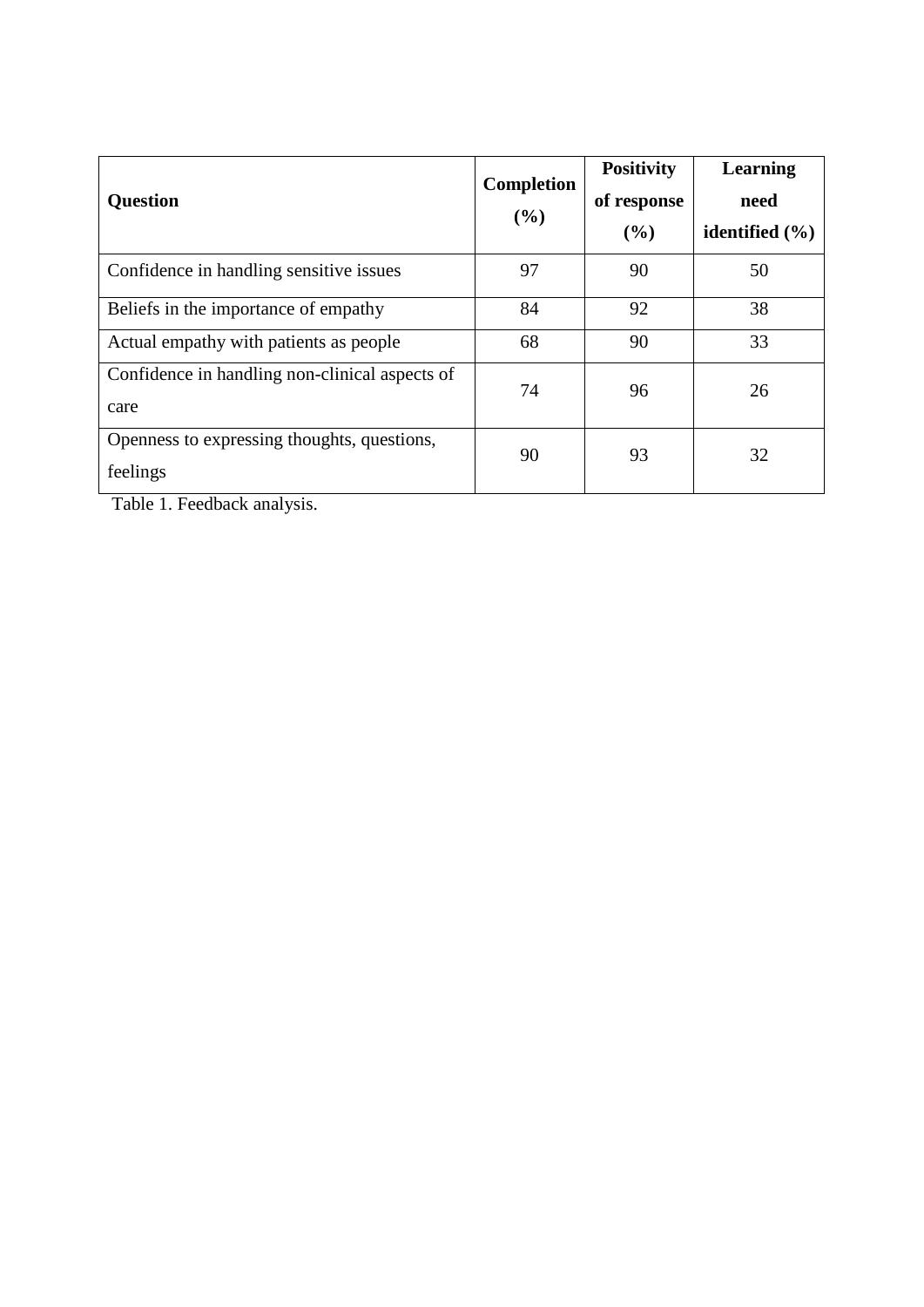| <b>Question</b>                                         | <b>Completion</b><br>(%) | <b>Positivity</b><br>of response<br>$($ %) | Learning<br>need<br>identified $(\% )$ |
|---------------------------------------------------------|--------------------------|--------------------------------------------|----------------------------------------|
| Confidence in handling sensitive issues                 | 97                       | 90                                         | 50                                     |
| Beliefs in the importance of empathy                    | 84                       | 92                                         | 38                                     |
| Actual empathy with patients as people                  | 68                       | 90                                         | 33                                     |
| Confidence in handling non-clinical aspects of<br>care  | 74                       | 96                                         | 26                                     |
| Openness to expressing thoughts, questions,<br>feelings | 90                       | 93                                         | 32                                     |

Table 1. Feedback analysis.